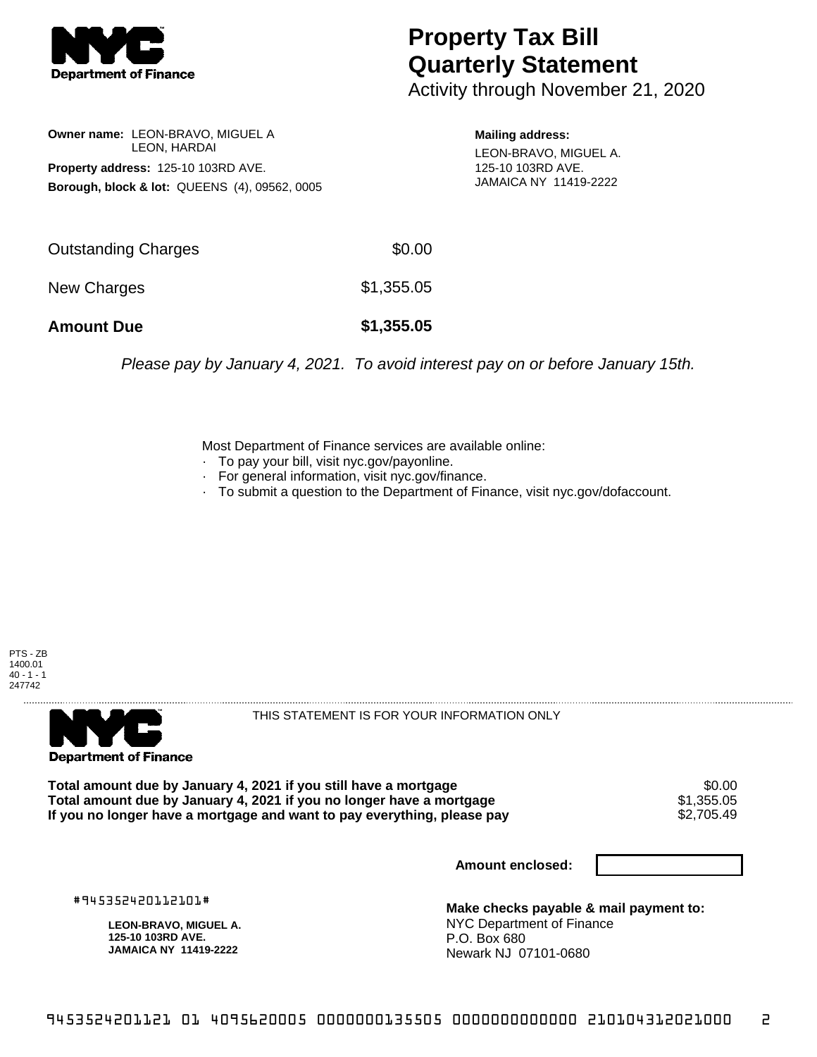

## **Property Tax Bill Quarterly Statement**

Activity through November 21, 2020

**Owner name:** LEON-BRAVO, MIGUEL A LEON, HARDAI **Property address:** 125-10 103RD AVE. **Borough, block & lot:** QUEENS (4), 09562, 0005

**Mailing address:** LEON-BRAVO, MIGUEL A. 125-10 103RD AVE. JAMAICA NY 11419-2222

| <b>Amount Due</b>   | \$1,355.05 |
|---------------------|------------|
| New Charges         | \$1,355.05 |
| Outstanding Charges | \$0.00     |

Please pay by January 4, 2021. To avoid interest pay on or before January 15th.

Most Department of Finance services are available online:

- · To pay your bill, visit nyc.gov/payonline.
- For general information, visit nyc.gov/finance.
- · To submit a question to the Department of Finance, visit nyc.gov/dofaccount.





THIS STATEMENT IS FOR YOUR INFORMATION ONLY

Total amount due by January 4, 2021 if you still have a mortgage  $$0.00$ <br>Total amount due by January 4, 2021 if you no longer have a mortgage  $$1,355.05$ **Total amount due by January 4, 2021 if you no longer have a mortgage**  $$1,355.05$ **<br>If you no longer have a mortgage and want to pay everything, please pay**  $$2,705.49$ If you no longer have a mortgage and want to pay everything, please pay

**Amount enclosed:**

#945352420112101#

**LEON-BRAVO, MIGUEL A. 125-10 103RD AVE. JAMAICA NY 11419-2222**

**Make checks payable & mail payment to:** NYC Department of Finance P.O. Box 680 Newark NJ 07101-0680